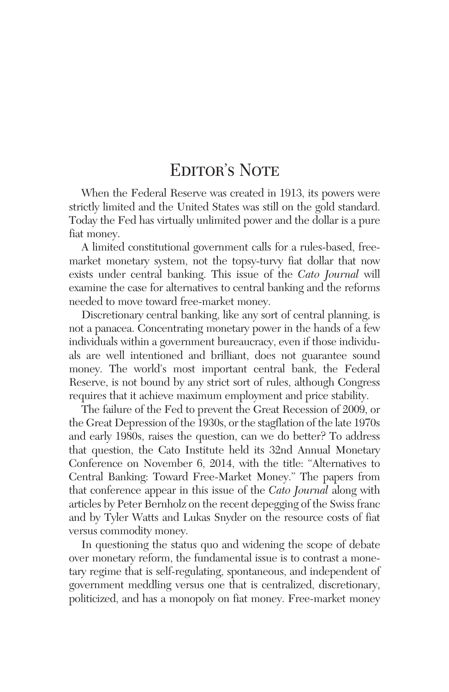## EDITOR'S NOTE

When the Federal Reserve was created in 1913, its powers were strictly limited and the United States was still on the gold standard. Today the Fed has virtually unlimited power and the dollar is a pure fiat money.

A limited constitutional government calls for a rules-based, freemarket monetary system, not the topsy-turvy fiat dollar that now exists under central banking. This issue of the *Cato Journal* will examine the case for alternatives to central banking and the reforms needed to move toward free-market money.

Discretionary central banking, like any sort of central planning, is not a panacea. Concentrating monetary power in the hands of a few individuals within a government bureaucracy, even if those individuals are well intentioned and brilliant, does not guarantee sound money. The world's most important central bank, the Federal Reserve, is not bound by any strict sort of rules, although Congress requires that it achieve maximum employment and price stability.

The failure of the Fed to prevent the Great Recession of 2009, or the Great Depression of the 1930s, or the stagflation of the late 1970s and early 1980s, raises the question, can we do better? To address that question, the Cato Institute held its 32nd Annual Monetary Conference on November 6, 2014, with the title: "Alternatives to Central Banking: Toward Free-Market Money." The papers from that conference appear in this issue of the *Cato Journal* along with articles by Peter Bernholz on the recent depegging of the Swiss franc and by Tyler Watts and Lukas Snyder on the resource costs of fiat versus commodity money.

In questioning the status quo and widening the scope of debate over monetary reform, the fundamental issue is to contrast a monetary regime that is self-regulating, spontaneous, and independent of government meddling versus one that is centralized, discretionary, politicized, and has a monopoly on fiat money. Free-market money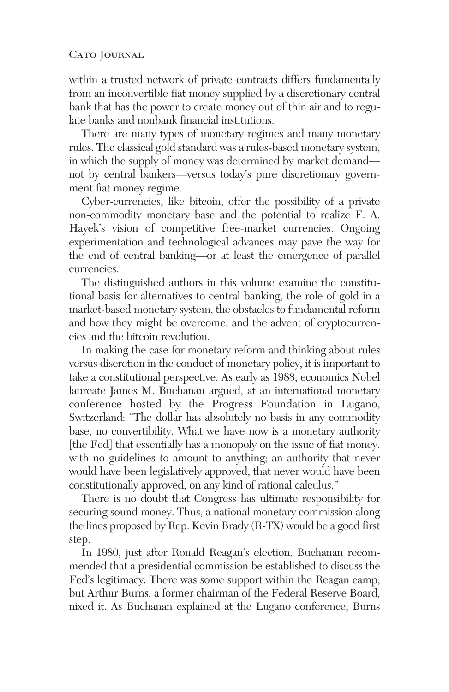## CATO JOURNAL

within a trusted network of private contracts differs fundamentally from an inconvertible fiat money supplied by a discretionary central bank that has the power to create money out of thin air and to regulate banks and nonbank financial institutions.

There are many types of monetary regimes and many monetary rules. The classical gold standard was a rules-based monetary system, in which the supply of money was determined by market demand not by central bankers—versus today's pure discretionary government fiat money regime.

Cyber-currencies, like bitcoin, offer the possibility of a private non-commodity monetary base and the potential to realize F. A. Hayek's vision of competitive free-market currencies. Ongoing experimentation and technological advances may pave the way for the end of central banking—or at least the emergence of parallel currencies.

The distinguished authors in this volume examine the constitutional basis for alternatives to central banking, the role of gold in a market-based monetary system, the obstacles to fundamental reform and how they might be overcome, and the advent of cryptocurrencies and the bitcoin revolution.

In making the case for monetary reform and thinking about rules versus discretion in the conduct of monetary policy, it is important to take a constitutional perspective. As early as 1988, economics Nobel laureate James M. Buchanan argued, at an international monetary conference hosted by the Progress Foundation in Lugano, Switzerland: "The dollar has absolutely no basis in any commodity base, no convertibility. What we have now is a monetary authority [the Fed] that essentially has a monopoly on the issue of fiat money, with no guidelines to amount to anything; an authority that never would have been legislatively approved, that never would have been constitutionally approved, on any kind of rational calculus."

There is no doubt that Congress has ultimate responsibility for securing sound money. Thus, a national monetary commission along the lines proposed by Rep. Kevin Brady (R-TX) would be a good first step.

In 1980, just after Ronald Reagan's election, Buchanan recommended that a presidential commission be established to discuss the Fed's legitimacy. There was some support within the Reagan camp, but Arthur Burns, a former chairman of the Federal Reserve Board, nixed it. As Buchanan explained at the Lugano conference, Burns